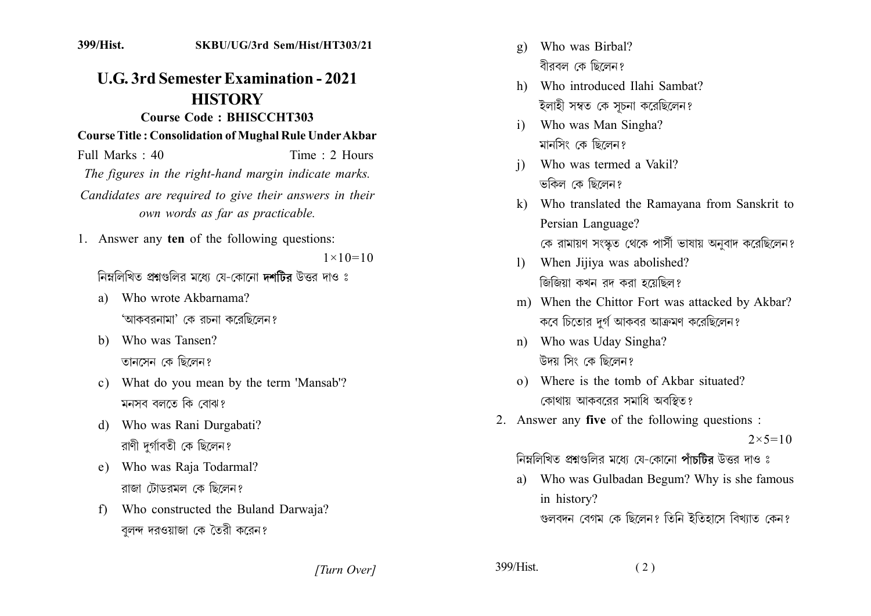## **U.G. 3rd Semester Examination - 2021 HISTORY**

## **Course Code: BHISCCHT303**

**Course Title: Consolidation of Mughal Rule Under Akbar** 

Time  $\cdot$  2 Hours Full Marks  $\cdot$  40 The figures in the right-hand margin indicate marks. Candidates are required to give their answers in their own words as far as practicable.

1. Answer any ten of the following questions:

 $1 \times 10 = 10$ 

নিম্নলিখিত প্ৰশ্নংগুলিব মধ্যে যে-কোনো **দশটিব** উত্তব দাও ঃ

- Who wrote Akbarnama? a) 'আকববনামা' কে বচনা কবেছিলেন?
- b) Who was Tansen? তানসেন কে ছিলেন?
- c) What do you mean by the term 'Mansab'? মনসব বলতে কি বোঝ?
- Who was Rani Durgabati? d) রাণী দুর্গাবতী কে ছিলেন?
- e) Who was Raja Todarmal? রাজা টোডরমল কে ছিলেন?
- Who constructed the Buland Darwaja?  $f$ বলন্দ দরওয়াজা কে তৈরী করেন?
- Who was Birbal?  $\alpha$ ) বীরবল কে ছিলেন?
- h) Who introduced Ilahi Sambat? ইলাহী সম্বত কে সূচনা করেছিলেন?
- Who was Man Singha?  $\mathbf{i}$ মানসিং কে ছিলেন?
- Who was termed a Vakil?  $\mathbf{i}$ ভকিল কে ছিলেন?
- k) Who translated the Ramayana from Sanskrit to Persian Language? কে রামায়ণ সংস্কৃত থেকে পার্সী ভাষায় অনুবাদ করেছিলেন?
- When Jijiya was abolished?  $\mathbf{D}$ জিজিয়া কখন রদ করা হয়েছিল?
- m) When the Chittor Fort was attacked by Akbar? কবে চিতোর দুর্গ আকবর আক্রমণ করেছিলেন?
- n) Who was Uday Singha? উদয় সিং কে ছিলেন?
- o) Where is the tomb of Akbar situated? কোথায় আকবরের সমাধি অবস্থিত?
- 2. Answer any five of the following questions :

 $2 \times 5 = 10$ 

নিম্নলিখিত প্ৰশ্নংগলিব মধ্যে যে-কোনো পাঁচটিব উত্তৰ দাও ঃ

a) Who was Gulbadan Begum? Why is she famous in history?

গুলবদন বেগম কে ছিলেন? তিনি ইতিহাসে বিখ্যাত কেন?

[Turn Over]

399/Hist.